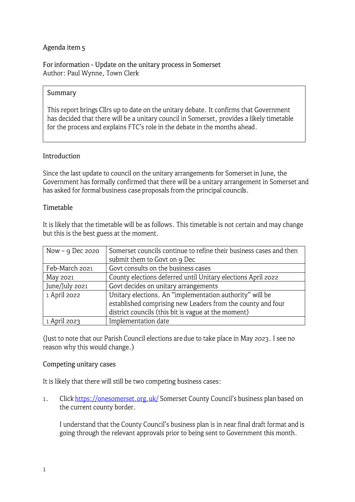# Agenda item s

For information - Update on the unitary process in Somerset Author: Paul Wynne, Town Clerk

#### **Summary**

This report brings Cllrs up to date on the unitary debate. It confirms that Government has decided that there will be a unitary council in Somerset, provides a likely timetable for the process and explains FTC's role in the debate in the months ahead.

#### **Introduction**

Since the last update to council on the unitary arrangements for Somerset in June, the Government has formally confirmed that there will be a unitary arrangement in Somerset and has asked for formal business case proposals from the principal councils.

#### **Timetable**

It is likely that the timetable will be as follows. This timetable is not certain and may change but this is the best guess at the moment.

| Now $-$ 9 Dec 2020 | Somerset councils continue to refine their business cases and then |
|--------------------|--------------------------------------------------------------------|
|                    | submit them to Govt on 9 Dec                                       |
| Feb-March 2021     | Govt consults on the business cases                                |
| May 2021           | County elections deferred until Unitary elections April 2022       |
| June/July 2021     | Govt decides on unitary arrangements                               |
| 1 April 2022       | Unitary elections. An "implementation authority" will be           |
|                    | established comprising new Leaders from the county and four        |
|                    | district councils (this bit is vague at the moment)                |
| 1 April 2023       | Implementation date                                                |

(Just to note that our Parish Council elections are due to take place in May 2023. I see no reason why this would change.)

#### Competing unitary cases

It is likely that there will still be two competing business cases:

1. Click https://onesomerset.org.uk/ Somerset County Council's business plan based on the current county border.

I understand that the County Council's business plan is in near final draft format and is going through the relevant approvals prior to being sent to Government this month.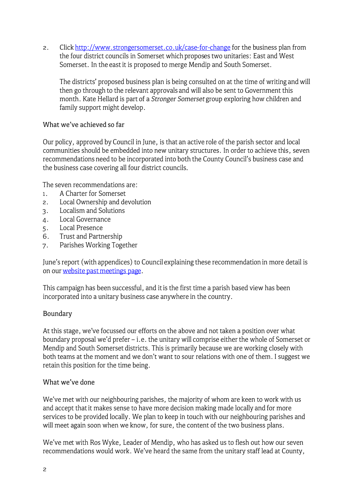2. Click http://www.strongersomerset.co.uk/case-for-change for the business plan from the four district councils in Somerset which proposes two unitaries: East and West Somerset. In the east it is proposed to merge Mendip and South Somerset.

The districts' proposed business plan is being consulted on at the time of writing and will then go through to the relevant approvals and will also be sent to Government this month. Kate Hellard is part of a *Stronger Somerset* group exploring how children and family support might develop.

### What we've achieved so far

Our policy, approved by Council in June, is that an active role of the parish sector and local communities should be embedded into new unitary structures. In order to achieve this, seven recommendations need to be incorporated into both the County Council's business case and the business case covering all four district councils.

The seven recommendations are:

- 1. A Charter for Somerset
- 2. Local Ownership and devolution
- 3. Localism and Solutions
- 4. Local Governance
- 5. Local Presence
- 6. Trust and Partnership
- 7. Parishes Working Together

June's report (with appendices) to Council explaining these recommendation in more detail is on our [website past meetings page](https://www.frometowncouncil.gov.uk/wp-content/uploads/2020/06/Agenda-item-3-For-decision-next-steps-on-LGR-1.pdf) .

This campaign has been successful, and it is the first time a parish based view has been incorporated into a unitary business case anywhere in the country.

# **Boundary**

At this stage, we've focussed our efforts on the above and not taken a position over what boundary proposal we'd prefer - i.e. the unitary will comprise either the whole of Somerset or Mendip and South Somerset districts. This is primarily because we are working closely with both teams at the moment and we don't want to sour relations with one of them. I suggest we retain this position for the time being.

#### What we've done

We've met with our neighbouring parishes, the majority of whom are keen to work with us and accept that it makes sense to have more decision making made locally and for more services to be provided locally. We plan to keep in touch with our neighbouring parishes and will meet again soon when we know, for sure, the content of the two business plans.

We've met with Ros Wyke, Leader of Mendip, who has asked us to flesh out how our seven recommendations would work. We've heard the same from the unitary staff lead at County,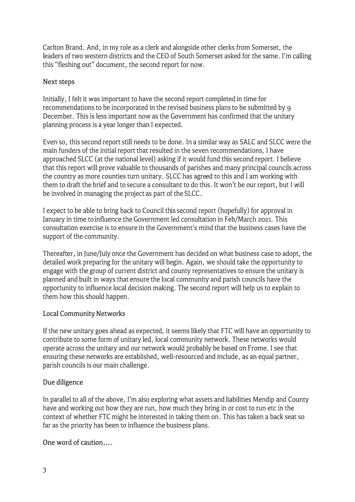Carlton Brand. And, in my role as a clerk and alongside other clerks from Somerset, the leaders of two western districts and the CEO of South Somerset asked for the same. I'm calling this "fleshing out" document, the second report for now.

### **Next** steps

Initially, I felt it was important to have the second report completed in time for recommendations to be incorporated in the revised business plans to be submitted by g December. This is less important now as the Government has confirmed that the unitary planning process is a year longer than I expected.

Even so, this second report still needs to be done. In a similar way as SALC and SLCC were the main funders of the initial report that resulted in the seven recommendations, I have approached SLCC (at the national level) asking if it would fund this second report. I believe that this report will prove valuable to thousands of parishes and many principal councils across the country as more counties turn unitary. SLCC has agreed to this and I am working with them to draft the brief and to secure a consultant to do this. It won't be our report, but I will be involved in managing the project as part of the SLCC.

I expect to be able to bring back to Council this second report (hopefully) for approval in January in time to influence the Government led consultation in Feb/March 2021. This consultation exercise is to ensure in the Government's mind that the business cases have the support of the community.

Thereafter, in June/July once the Government has decided on what business case to adopt, the detailed work preparing for the unitary will begin. Again, we should take the opportunity to engage with the group of current district and county representatives to ensure the unitary is planned and built in ways that ensure the local community and parish councils have the opportunity to influence local decision making. The second report will help us to explain to them how this should happen.

# Local Community Networks

If the new unitary goes ahead as expected, it seems likely that FTC will have an opportunity to contribute to some form of unitary led, local community network. These networks would operate across the unitary and our network would probably be based on Frome. I see that ensuring these networks are established, well-resourced and include, as an equal partner, parish councils is our main challenge.

# Due diligence

In parallel to all of the above, I'm also exploring what assets and liabilities Mendip and County have and working out how they are run, how much they bring in or cost to run etc in the context of whether FTC might be interested in taking them on. This has taken a back seat so far as the priority has been to influence the business plans.

One word of caution....